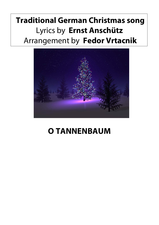## **Traditional German Christmas song** Lyrics by **Ernst Anschütz** Arrangement by **Fedor Vrtacnik**



## **O TANNENBAUM**